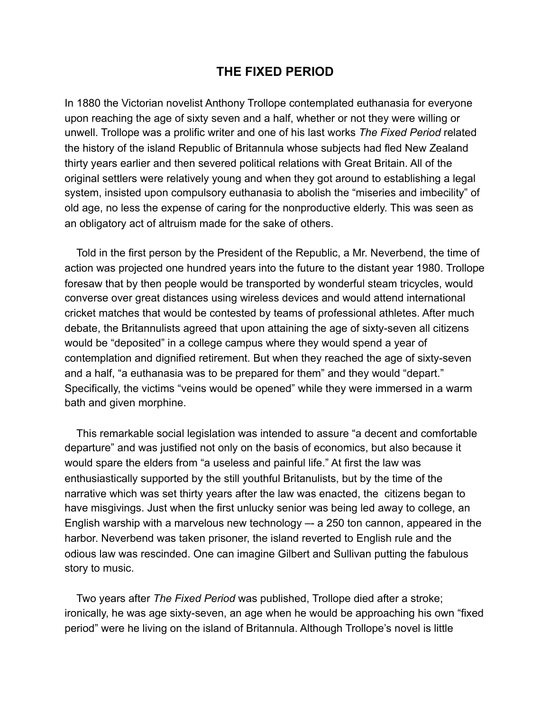## **THE FIXED PERIOD**

In 1880 the Victorian novelist Anthony Trollope contemplated euthanasia for everyone upon reaching the age of sixty seven and a half, whether or not they were willing or unwell. Trollope was a prolific writer and one of his last works *The Fixed Period* related the history of the island Republic of Britannula whose subjects had fled New Zealand thirty years earlier and then severed political relations with Great Britain. All of the original settlers were relatively young and when they got around to establishing a legal system, insisted upon compulsory euthanasia to abolish the "miseries and imbecility" of old age, no less the expense of caring for the nonproductive elderly. This was seen as an obligatory act of altruism made for the sake of others.

 Told in the first person by the President of the Republic, a Mr. Neverbend, the time of action was projected one hundred years into the future to the distant year 1980. Trollope foresaw that by then people would be transported by wonderful steam tricycles, would converse over great distances using wireless devices and would attend international cricket matches that would be contested by teams of professional athletes. After much debate, the Britannulists agreed that upon attaining the age of sixty-seven all citizens would be "deposited" in a college campus where they would spend a year of contemplation and dignified retirement. But when they reached the age of sixty-seven and a half, "a euthanasia was to be prepared for them" and they would "depart." Specifically, the victims "veins would be opened" while they were immersed in a warm bath and given morphine.

 This remarkable social legislation was intended to assure "a decent and comfortable departure" and was justified not only on the basis of economics, but also because it would spare the elders from "a useless and painful life." At first the law was enthusiastically supported by the still youthful Britanulists, but by the time of the narrative which was set thirty years after the law was enacted, the citizens began to have misgivings. Just when the first unlucky senior was being led away to college, an English warship with a marvelous new technology –- a 250 ton cannon, appeared in the harbor. Neverbend was taken prisoner, the island reverted to English rule and the odious law was rescinded. One can imagine Gilbert and Sullivan putting the fabulous story to music.

 Two years after *The Fixed Period* was published, Trollope died after a stroke; ironically, he was age sixty-seven, an age when he would be approaching his own "fixed period" were he living on the island of Britannula. Although Trollope's novel is little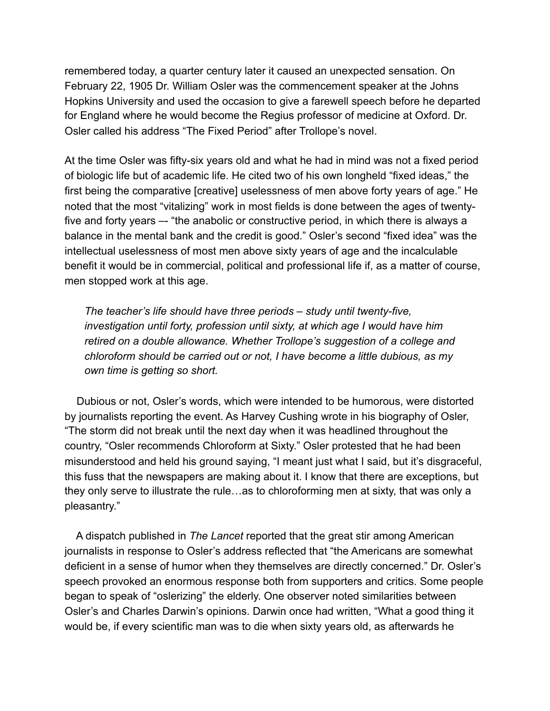remembered today, a quarter century later it caused an unexpected sensation. On February 22, 1905 Dr. William Osler was the commencement speaker at the Johns Hopkins University and used the occasion to give a farewell speech before he departed for England where he would become the Regius professor of medicine at Oxford. Dr. Osler called his address "The Fixed Period" after Trollope's novel.

At the time Osler was fifty-six years old and what he had in mind was not a fixed period of biologic life but of academic life. He cited two of his own longheld "fixed ideas," the first being the comparative [creative] uselessness of men above forty years of age." He noted that the most "vitalizing" work in most fields is done between the ages of twentyfive and forty years –- "the anabolic or constructive period, in which there is always a balance in the mental bank and the credit is good." Osler's second "fixed idea" was the intellectual uselessness of most men above sixty years of age and the incalculable benefit it would be in commercial, political and professional life if, as a matter of course, men stopped work at this age.

*The teacher's life should have three periods – study until twenty-five, investigation until forty, profession until sixty, at which age I would have him retired on a double allowance. Whether Trollope's suggestion of a college and chloroform should be carried out or not, I have become a little dubious, as my own time is getting so short.* 

 Dubious or not, Osler's words, which were intended to be humorous, were distorted by journalists reporting the event. As Harvey Cushing wrote in his biography of Osler, "The storm did not break until the next day when it was headlined throughout the country, "Osler recommends Chloroform at Sixty." Osler protested that he had been misunderstood and held his ground saying, "I meant just what I said, but it's disgraceful, this fuss that the newspapers are making about it. I know that there are exceptions, but they only serve to illustrate the rule…as to chloroforming men at sixty, that was only a pleasantry."

 A dispatch published in *The Lancet* reported that the great stir among American journalists in response to Osler's address reflected that "the Americans are somewhat deficient in a sense of humor when they themselves are directly concerned." Dr. Osler's speech provoked an enormous response both from supporters and critics. Some people began to speak of "oslerizing" the elderly. One observer noted similarities between Osler's and Charles Darwin's opinions. Darwin once had written, "What a good thing it would be, if every scientific man was to die when sixty years old, as afterwards he